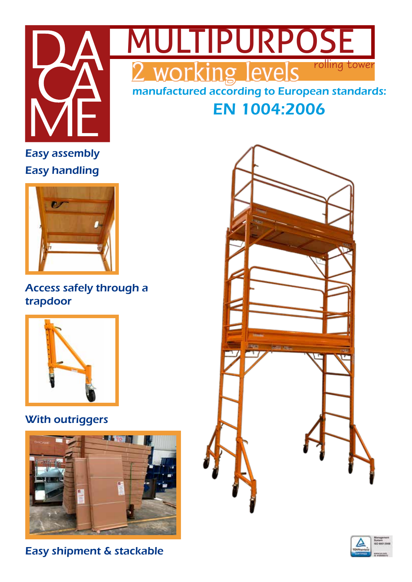



EN 1004:2006

# Easy handling Easy assembly



### Access safely through a trapdoor



## With outriggers



Easy shipment & stackable



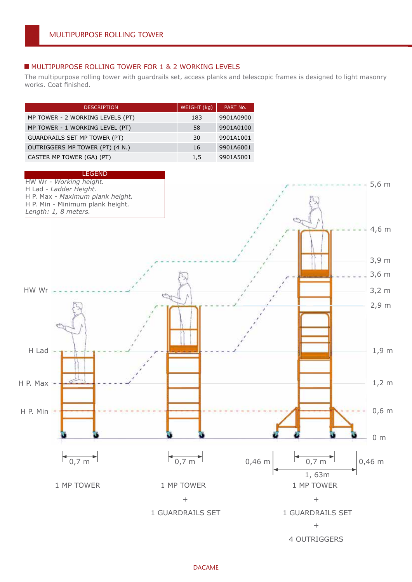#### **MULTIPURPOSE ROLLING TOWER FOR 1 & 2 WORKING LEVELS**

The multipurpose rolling tower with guardrails set, access planks and telescopic frames is designed to light masonry works. Coat finished.

| <b>DESCRIPTION</b>               | WEIGHT (kg) | PART No.  |
|----------------------------------|-------------|-----------|
| MP TOWER - 2 WORKING LEVELS (PT) | 183         | 9901A0900 |
| MP TOWER - 1 WORKING LEVEL (PT)  | 58          | 9901A0100 |
| GUARDRAILS SET MP TOWER (PT)     | 30          | 9901A1001 |
| OUTRIGGERS MP TOWER (PT) (4 N.)  | 16          | 9901A6001 |
| CASTER MP TOWER (GA) (PT)        | 1,5         | 9901A5001 |

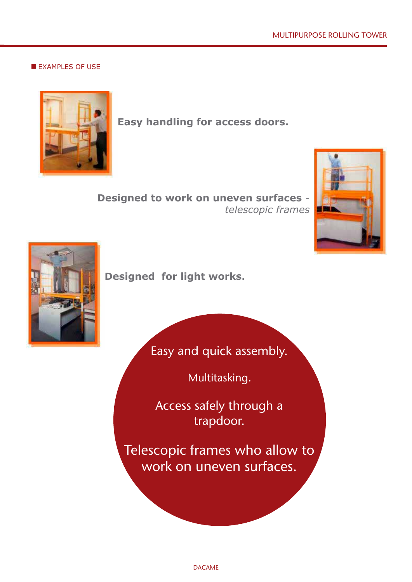**EXAMPLES OF USE** 



**Easy handling for access doors.** 

**Designed to work on uneven surfaces** *telescopic frames*





**Designed for light works.**

Easy and quick assembly.

Multitasking.

Access safely through a trapdoor.

Telescopic frames who allow to work on uneven surfaces.